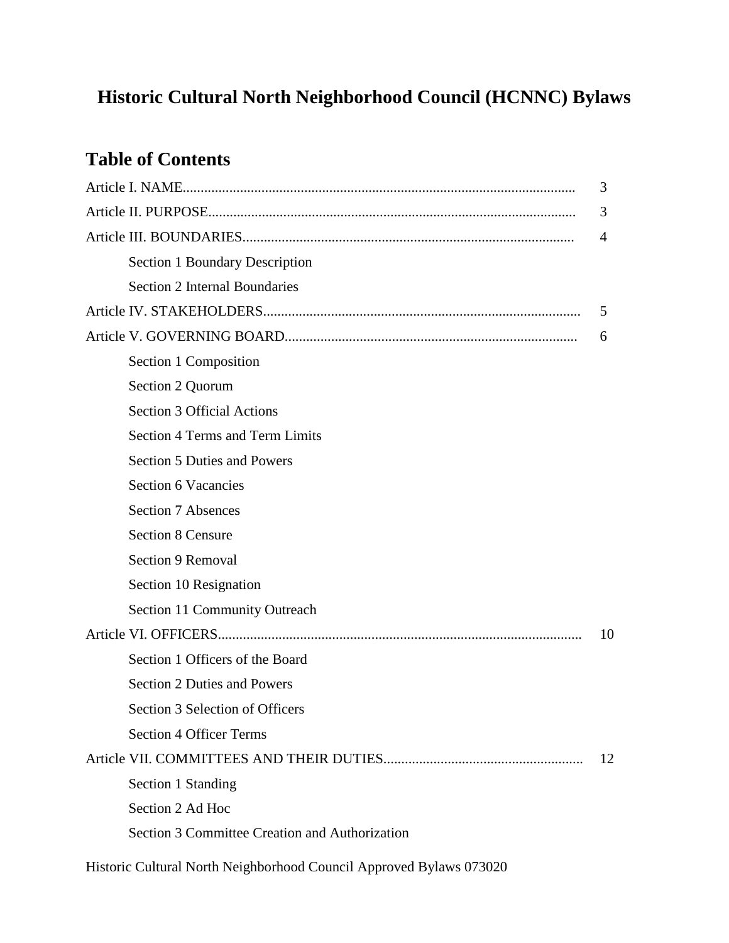# **Historic Cultural North Neighborhood Council (HCNNC) Bylaws**

## **Table of Contents**

|                                                | 3  |
|------------------------------------------------|----|
|                                                | 3  |
|                                                | 4  |
| Section 1 Boundary Description                 |    |
| <b>Section 2 Internal Boundaries</b>           |    |
|                                                | 5  |
|                                                | 6  |
| Section 1 Composition                          |    |
| Section 2 Quorum                               |    |
| <b>Section 3 Official Actions</b>              |    |
| <b>Section 4 Terms and Term Limits</b>         |    |
| <b>Section 5 Duties and Powers</b>             |    |
| <b>Section 6 Vacancies</b>                     |    |
| <b>Section 7 Absences</b>                      |    |
| <b>Section 8 Censure</b>                       |    |
| Section 9 Removal                              |    |
| Section 10 Resignation                         |    |
| Section 11 Community Outreach                  |    |
|                                                | 10 |
| Section 1 Officers of the Board                |    |
| <b>Section 2 Duties and Powers</b>             |    |
| Section 3 Selection of Officers                |    |
| <b>Section 4 Officer Terms</b>                 |    |
|                                                | 12 |
| Section 1 Standing                             |    |
| Section 2 Ad Hoc                               |    |
| Section 3 Committee Creation and Authorization |    |
|                                                |    |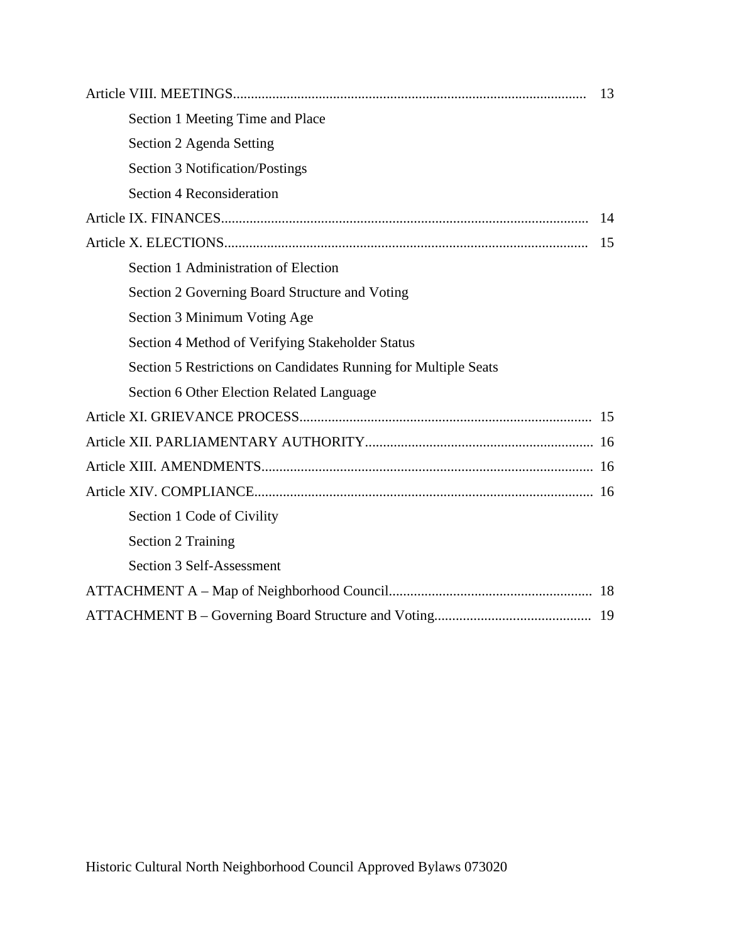|                                                                 | 13 |  |  |
|-----------------------------------------------------------------|----|--|--|
| Section 1 Meeting Time and Place                                |    |  |  |
| Section 2 Agenda Setting                                        |    |  |  |
| <b>Section 3 Notification/Postings</b>                          |    |  |  |
| <b>Section 4 Reconsideration</b>                                |    |  |  |
|                                                                 | 14 |  |  |
|                                                                 | 15 |  |  |
| Section 1 Administration of Election                            |    |  |  |
| Section 2 Governing Board Structure and Voting                  |    |  |  |
| Section 3 Minimum Voting Age                                    |    |  |  |
| Section 4 Method of Verifying Stakeholder Status                |    |  |  |
| Section 5 Restrictions on Candidates Running for Multiple Seats |    |  |  |
| Section 6 Other Election Related Language                       |    |  |  |
|                                                                 |    |  |  |
|                                                                 |    |  |  |
|                                                                 |    |  |  |
|                                                                 |    |  |  |
| Section 1 Code of Civility                                      |    |  |  |
| <b>Section 2 Training</b>                                       |    |  |  |
| Section 3 Self-Assessment                                       |    |  |  |
|                                                                 |    |  |  |
|                                                                 |    |  |  |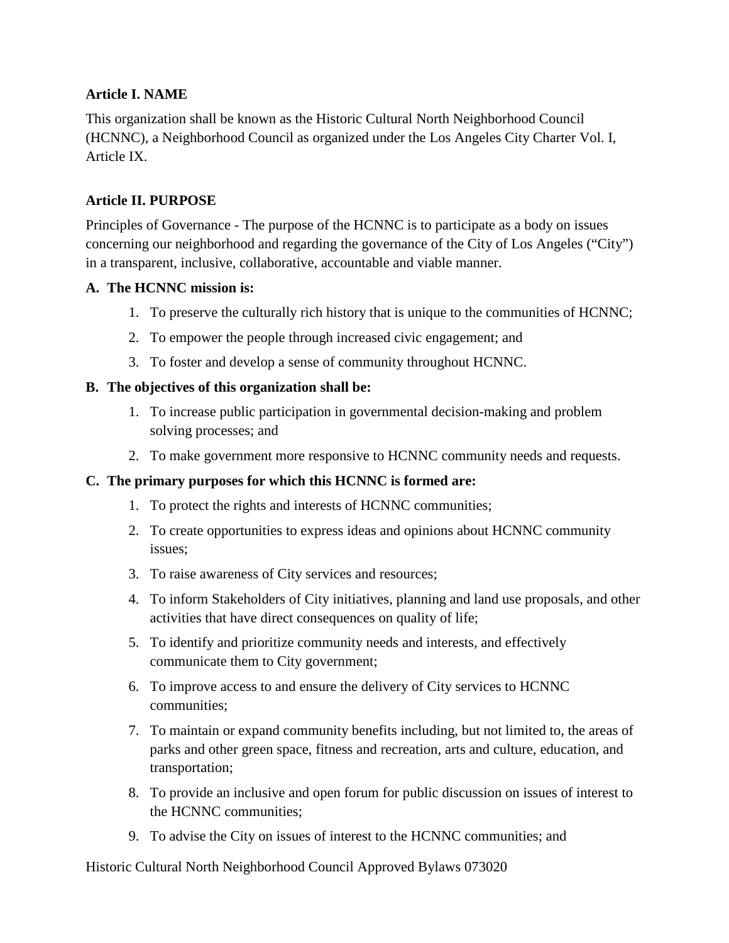## **Article I. NAME**

This organization shall be known as the Historic Cultural North Neighborhood Council (HCNNC), a Neighborhood Council as organized under the Los Angeles City Charter Vol. I, Article IX.

## **Article II. PURPOSE**

Principles of Governance - The purpose of the HCNNC is to participate as a body on issues concerning our neighborhood and regarding the governance of the City of Los Angeles ("City") in a transparent, inclusive, collaborative, accountable and viable manner.

#### **A. The HCNNC mission is:**

- 1. To preserve the culturally rich history that is unique to the communities of HCNNC;
- 2. To empower the people through increased civic engagement; and
- 3. To foster and develop a sense of community throughout HCNNC.

## **B. The objectives of this organization shall be:**

- 1. To increase public participation in governmental decision-making and problem solving processes; and
- 2. To make government more responsive to HCNNC community needs and requests.

#### **C. The primary purposes for which this HCNNC is formed are:**

- 1. To protect the rights and interests of HCNNC communities;
- 2. To create opportunities to express ideas and opinions about HCNNC community issues;
- 3. To raise awareness of City services and resources;
- 4. To inform Stakeholders of City initiatives, planning and land use proposals, and other activities that have direct consequences on quality of life;
- 5. To identify and prioritize community needs and interests, and effectively communicate them to City government;
- 6. To improve access to and ensure the delivery of City services to HCNNC communities;
- 7. To maintain or expand community benefits including, but not limited to, the areas of parks and other green space, fitness and recreation, arts and culture, education, and transportation;
- 8. To provide an inclusive and open forum for public discussion on issues of interest to the HCNNC communities;
- 9. To advise the City on issues of interest to the HCNNC communities; and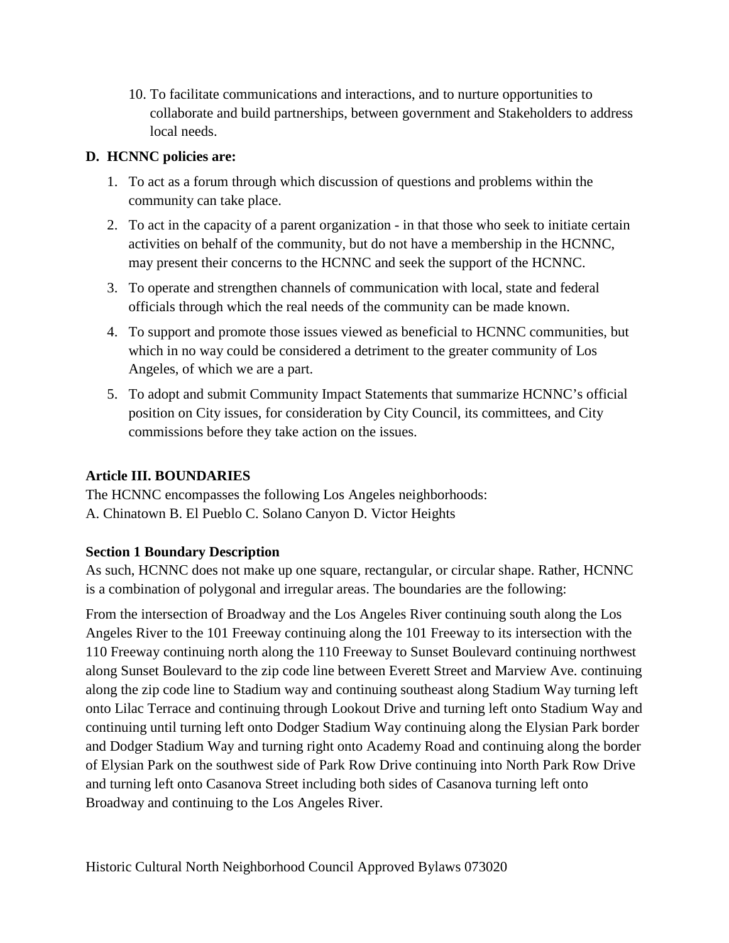10. To facilitate communications and interactions, and to nurture opportunities to collaborate and build partnerships, between government and Stakeholders to address local needs.

## **D. HCNNC policies are:**

- 1. To act as a forum through which discussion of questions and problems within the community can take place.
- 2. To act in the capacity of a parent organization in that those who seek to initiate certain activities on behalf of the community, but do not have a membership in the HCNNC, may present their concerns to the HCNNC and seek the support of the HCNNC.
- 3. To operate and strengthen channels of communication with local, state and federal officials through which the real needs of the community can be made known.
- 4. To support and promote those issues viewed as beneficial to HCNNC communities, but which in no way could be considered a detriment to the greater community of Los Angeles, of which we are a part.
- 5. To adopt and submit Community Impact Statements that summarize HCNNC's official position on City issues, for consideration by City Council, its committees, and City commissions before they take action on the issues.

## **Article III. BOUNDARIES**

The HCNNC encompasses the following Los Angeles neighborhoods: A. Chinatown B. El Pueblo C. Solano Canyon D. Victor Heights

## **Section 1 Boundary Description**

As such, HCNNC does not make up one square, rectangular, or circular shape. Rather, HCNNC is a combination of polygonal and irregular areas. The boundaries are the following:

From the intersection of Broadway and the Los Angeles River continuing south along the Los Angeles River to the 101 Freeway continuing along the 101 Freeway to its intersection with the 110 Freeway continuing north along the 110 Freeway to Sunset Boulevard continuing northwest along Sunset Boulevard to the zip code line between Everett Street and Marview Ave. continuing along the zip code line to Stadium way and continuing southeast along Stadium Way turning left onto Lilac Terrace and continuing through Lookout Drive and turning left onto Stadium Way and continuing until turning left onto Dodger Stadium Way continuing along the Elysian Park border and Dodger Stadium Way and turning right onto Academy Road and continuing along the border of Elysian Park on the southwest side of Park Row Drive continuing into North Park Row Drive and turning left onto Casanova Street including both sides of Casanova turning left onto Broadway and continuing to the Los Angeles River.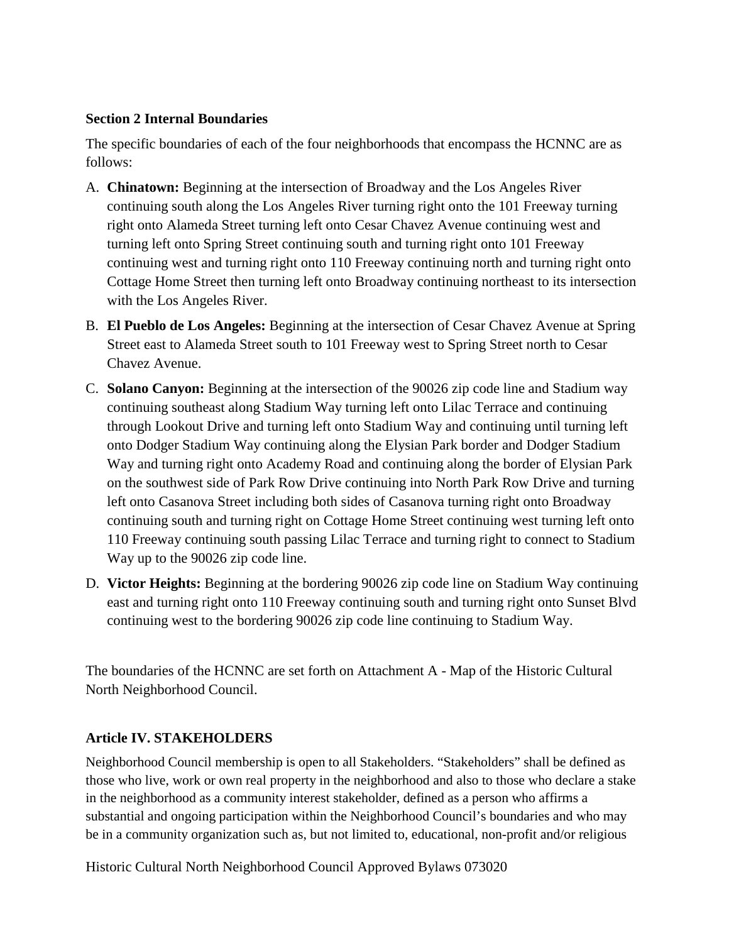#### **Section 2 Internal Boundaries**

The specific boundaries of each of the four neighborhoods that encompass the HCNNC are as follows:

- A. **Chinatown:** Beginning at the intersection of Broadway and the Los Angeles River continuing south along the Los Angeles River turning right onto the 101 Freeway turning right onto Alameda Street turning left onto Cesar Chavez Avenue continuing west and turning left onto Spring Street continuing south and turning right onto 101 Freeway continuing west and turning right onto 110 Freeway continuing north and turning right onto Cottage Home Street then turning left onto Broadway continuing northeast to its intersection with the Los Angeles River.
- B. **El Pueblo de Los Angeles:** Beginning at the intersection of Cesar Chavez Avenue at Spring Street east to Alameda Street south to 101 Freeway west to Spring Street north to Cesar Chavez Avenue.
- C. **Solano Canyon:** Beginning at the intersection of the 90026 zip code line and Stadium way continuing southeast along Stadium Way turning left onto Lilac Terrace and continuing through Lookout Drive and turning left onto Stadium Way and continuing until turning left onto Dodger Stadium Way continuing along the Elysian Park border and Dodger Stadium Way and turning right onto Academy Road and continuing along the border of Elysian Park on the southwest side of Park Row Drive continuing into North Park Row Drive and turning left onto Casanova Street including both sides of Casanova turning right onto Broadway continuing south and turning right on Cottage Home Street continuing west turning left onto 110 Freeway continuing south passing Lilac Terrace and turning right to connect to Stadium Way up to the 90026 zip code line.
- D. **Victor Heights:** Beginning at the bordering 90026 zip code line on Stadium Way continuing east and turning right onto 110 Freeway continuing south and turning right onto Sunset Blvd continuing west to the bordering 90026 zip code line continuing to Stadium Way.

The boundaries of the HCNNC are set forth on Attachment A - Map of the Historic Cultural North Neighborhood Council.

## **Article IV. STAKEHOLDERS**

Neighborhood Council membership is open to all Stakeholders. "Stakeholders" shall be defined as those who live, work or own real property in the neighborhood and also to those who declare a stake in the neighborhood as a community interest stakeholder, defined as a person who affirms a substantial and ongoing participation within the Neighborhood Council's boundaries and who may be in a community organization such as, but not limited to, educational, non-profit and/or religious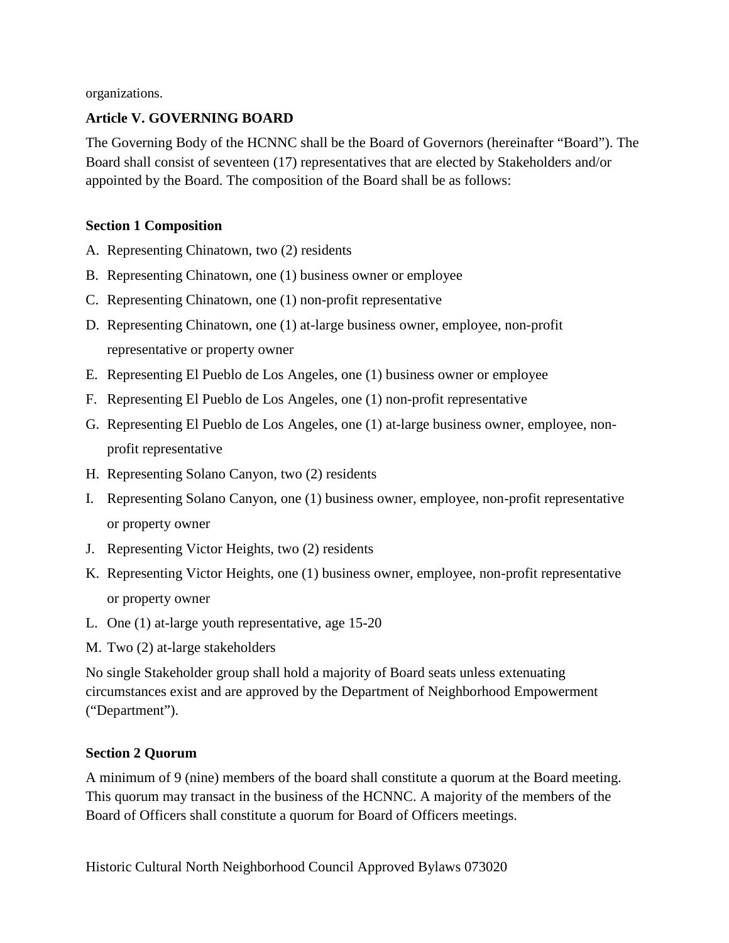organizations.

## **Article V. GOVERNING BOARD**

The Governing Body of the HCNNC shall be the Board of Governors (hereinafter "Board"). The Board shall consist of seventeen (17) representatives that are elected by Stakeholders and/or appointed by the Board. The composition of the Board shall be as follows:

## **Section 1 Composition**

- A. Representing Chinatown, two (2) residents
- B. Representing Chinatown, one (1) business owner or employee
- C. Representing Chinatown, one (1) non-profit representative
- D. Representing Chinatown, one (1) at-large business owner, employee, non-profit representative or property owner
- E. Representing El Pueblo de Los Angeles, one (1) business owner or employee
- F. Representing El Pueblo de Los Angeles, one (1) non-profit representative
- G. Representing El Pueblo de Los Angeles, one (1) at-large business owner, employee, nonprofit representative
- H. Representing Solano Canyon, two (2) residents
- I. Representing Solano Canyon, one (1) business owner, employee, non-profit representative or property owner
- J. Representing Victor Heights, two (2) residents
- K. Representing Victor Heights, one (1) business owner, employee, non-profit representative or property owner
- L. One (1) at-large youth representative, age 15-20
- M. Two (2) at-large stakeholders

No single Stakeholder group shall hold a majority of Board seats unless extenuating circumstances exist and are approved by the Department of Neighborhood Empowerment ("Department").

## **Section 2 Quorum**

A minimum of 9 (nine) members of the board shall constitute a quorum at the Board meeting. This quorum may transact in the business of the HCNNC. A majority of the members of the Board of Officers shall constitute a quorum for Board of Officers meetings.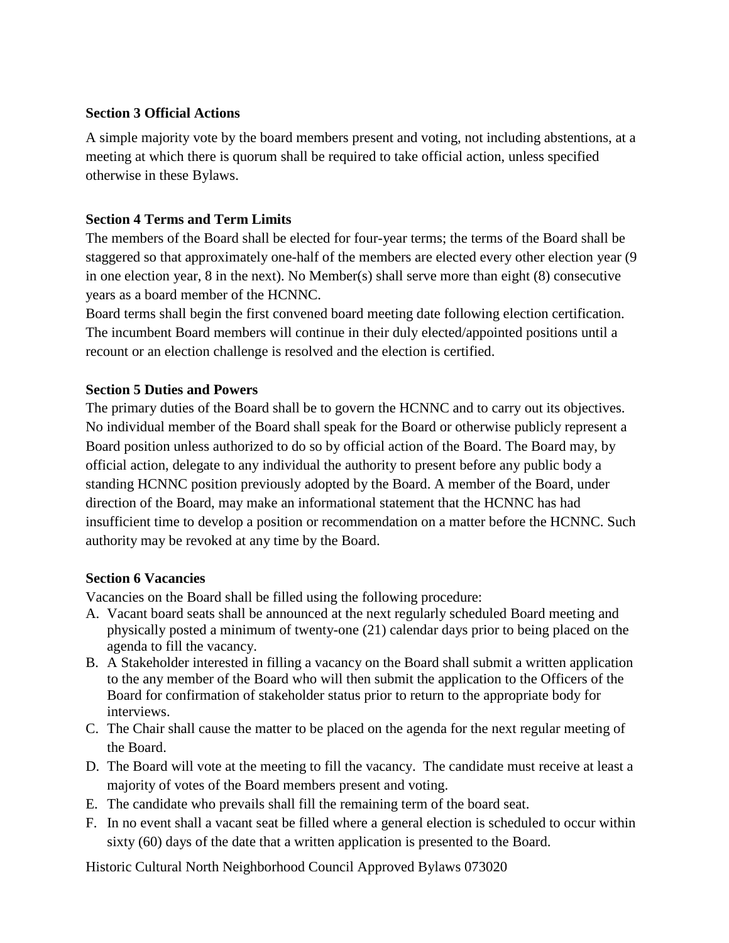#### **Section 3 Official Actions**

A simple majority vote by the board members present and voting, not including abstentions, at a meeting at which there is quorum shall be required to take official action, unless specified otherwise in these Bylaws.

### **Section 4 Terms and Term Limits**

The members of the Board shall be elected for four-year terms; the terms of the Board shall be staggered so that approximately one-half of the members are elected every other election year (9 in one election year, 8 in the next). No Member(s) shall serve more than eight (8) consecutive years as a board member of the HCNNC.

Board terms shall begin the first convened board meeting date following election certification. The incumbent Board members will continue in their duly elected/appointed positions until a recount or an election challenge is resolved and the election is certified.

## **Section 5 Duties and Powers**

The primary duties of the Board shall be to govern the HCNNC and to carry out its objectives. No individual member of the Board shall speak for the Board or otherwise publicly represent a Board position unless authorized to do so by official action of the Board. The Board may, by official action, delegate to any individual the authority to present before any public body a standing HCNNC position previously adopted by the Board. A member of the Board, under direction of the Board, may make an informational statement that the HCNNC has had insufficient time to develop a position or recommendation on a matter before the HCNNC. Such authority may be revoked at any time by the Board.

#### **Section 6 Vacancies**

Vacancies on the Board shall be filled using the following procedure:

- A. Vacant board seats shall be announced at the next regularly scheduled Board meeting and physically posted a minimum of twenty-one (21) calendar days prior to being placed on the agenda to fill the vacancy.
- B. A Stakeholder interested in filling a vacancy on the Board shall submit a written application to the any member of the Board who will then submit the application to the Officers of the Board for confirmation of stakeholder status prior to return to the appropriate body for interviews.
- C. The Chair shall cause the matter to be placed on the agenda for the next regular meeting of the Board.
- D. The Board will vote at the meeting to fill the vacancy. The candidate must receive at least a majority of votes of the Board members present and voting.
- E. The candidate who prevails shall fill the remaining term of the board seat.
- F. In no event shall a vacant seat be filled where a general election is scheduled to occur within sixty (60) days of the date that a written application is presented to the Board.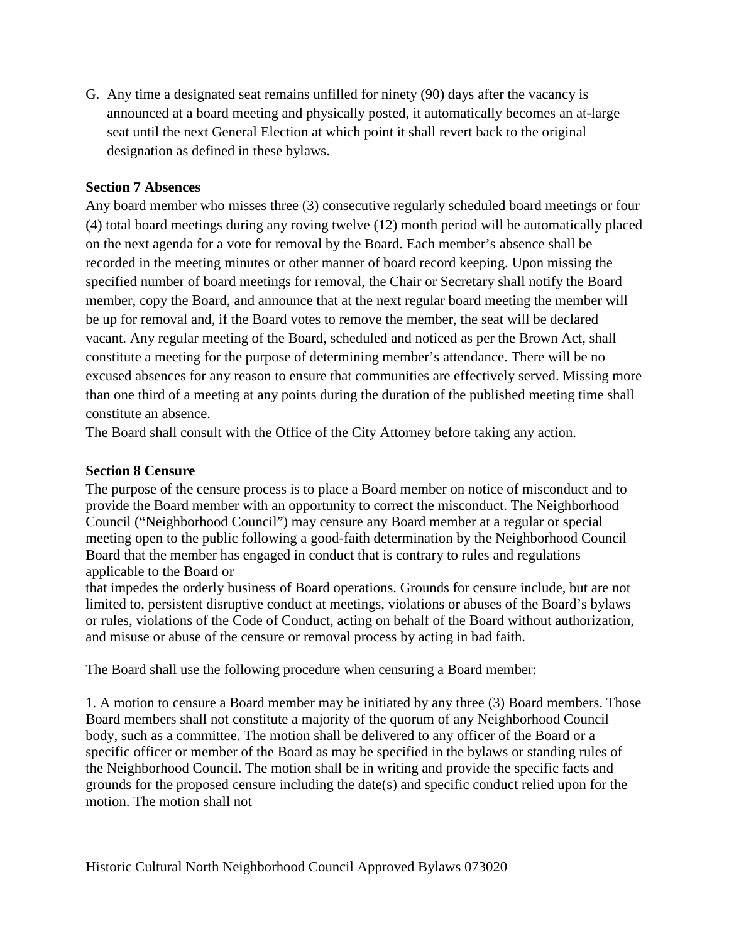G. Any time a designated seat remains unfilled for ninety (90) days after the vacancy is announced at a board meeting and physically posted, it automatically becomes an at-large seat until the next General Election at which point it shall revert back to the original designation as defined in these bylaws.

#### **Section 7 Absences**

Any board member who misses three (3) consecutive regularly scheduled board meetings or four (4) total board meetings during any roving twelve (12) month period will be automatically placed on the next agenda for a vote for removal by the Board. Each member's absence shall be recorded in the meeting minutes or other manner of board record keeping. Upon missing the specified number of board meetings for removal, the Chair or Secretary shall notify the Board member, copy the Board, and announce that at the next regular board meeting the member will be up for removal and, if the Board votes to remove the member, the seat will be declared vacant. Any regular meeting of the Board, scheduled and noticed as per the Brown Act, shall constitute a meeting for the purpose of determining member's attendance. There will be no excused absences for any reason to ensure that communities are effectively served. Missing more than one third of a meeting at any points during the duration of the published meeting time shall constitute an absence.

The Board shall consult with the Office of the City Attorney before taking any action.

#### **Section 8 Censure**

The purpose of the censure process is to place a Board member on notice of misconduct and to provide the Board member with an opportunity to correct the misconduct. The Neighborhood Council ("Neighborhood Council") may censure any Board member at a regular or special meeting open to the public following a good-faith determination by the Neighborhood Council Board that the member has engaged in conduct that is contrary to rules and regulations applicable to the Board or

that impedes the orderly business of Board operations. Grounds for censure include, but are not limited to, persistent disruptive conduct at meetings, violations or abuses of the Board's bylaws or rules, violations of the Code of Conduct, acting on behalf of the Board without authorization, and misuse or abuse of the censure or removal process by acting in bad faith.

The Board shall use the following procedure when censuring a Board member:

1. A motion to censure a Board member may be initiated by any three (3) Board members. Those Board members shall not constitute a majority of the quorum of any Neighborhood Council body, such as a committee. The motion shall be delivered to any officer of the Board or a specific officer or member of the Board as may be specified in the bylaws or standing rules of the Neighborhood Council. The motion shall be in writing and provide the specific facts and grounds for the proposed censure including the date(s) and specific conduct relied upon for the motion. The motion shall not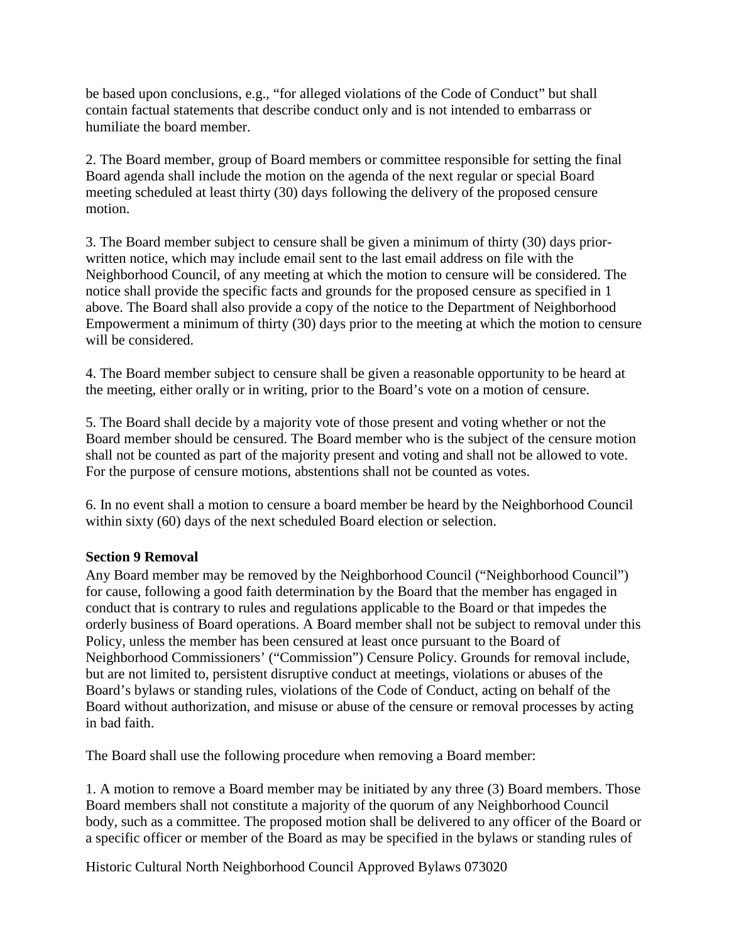be based upon conclusions, e.g., "for alleged violations of the Code of Conduct" but shall contain factual statements that describe conduct only and is not intended to embarrass or humiliate the board member.

2. The Board member, group of Board members or committee responsible for setting the final Board agenda shall include the motion on the agenda of the next regular or special Board meeting scheduled at least thirty (30) days following the delivery of the proposed censure motion.

3. The Board member subject to censure shall be given a minimum of thirty (30) days priorwritten notice, which may include email sent to the last email address on file with the Neighborhood Council, of any meeting at which the motion to censure will be considered. The notice shall provide the specific facts and grounds for the proposed censure as specified in 1 above. The Board shall also provide a copy of the notice to the Department of Neighborhood Empowerment a minimum of thirty (30) days prior to the meeting at which the motion to censure will be considered.

4. The Board member subject to censure shall be given a reasonable opportunity to be heard at the meeting, either orally or in writing, prior to the Board's vote on a motion of censure.

5. The Board shall decide by a majority vote of those present and voting whether or not the Board member should be censured. The Board member who is the subject of the censure motion shall not be counted as part of the majority present and voting and shall not be allowed to vote. For the purpose of censure motions, abstentions shall not be counted as votes.

6. In no event shall a motion to censure a board member be heard by the Neighborhood Council within sixty (60) days of the next scheduled Board election or selection.

#### **Section 9 Removal**

Any Board member may be removed by the Neighborhood Council ("Neighborhood Council") for cause, following a good faith determination by the Board that the member has engaged in conduct that is contrary to rules and regulations applicable to the Board or that impedes the orderly business of Board operations. A Board member shall not be subject to removal under this Policy, unless the member has been censured at least once pursuant to the Board of Neighborhood Commissioners' ("Commission") Censure Policy. Grounds for removal include, but are not limited to, persistent disruptive conduct at meetings, violations or abuses of the Board's bylaws or standing rules, violations of the Code of Conduct, acting on behalf of the Board without authorization, and misuse or abuse of the censure or removal processes by acting in bad faith.

The Board shall use the following procedure when removing a Board member:

1. A motion to remove a Board member may be initiated by any three (3) Board members. Those Board members shall not constitute a majority of the quorum of any Neighborhood Council body, such as a committee. The proposed motion shall be delivered to any officer of the Board or a specific officer or member of the Board as may be specified in the bylaws or standing rules of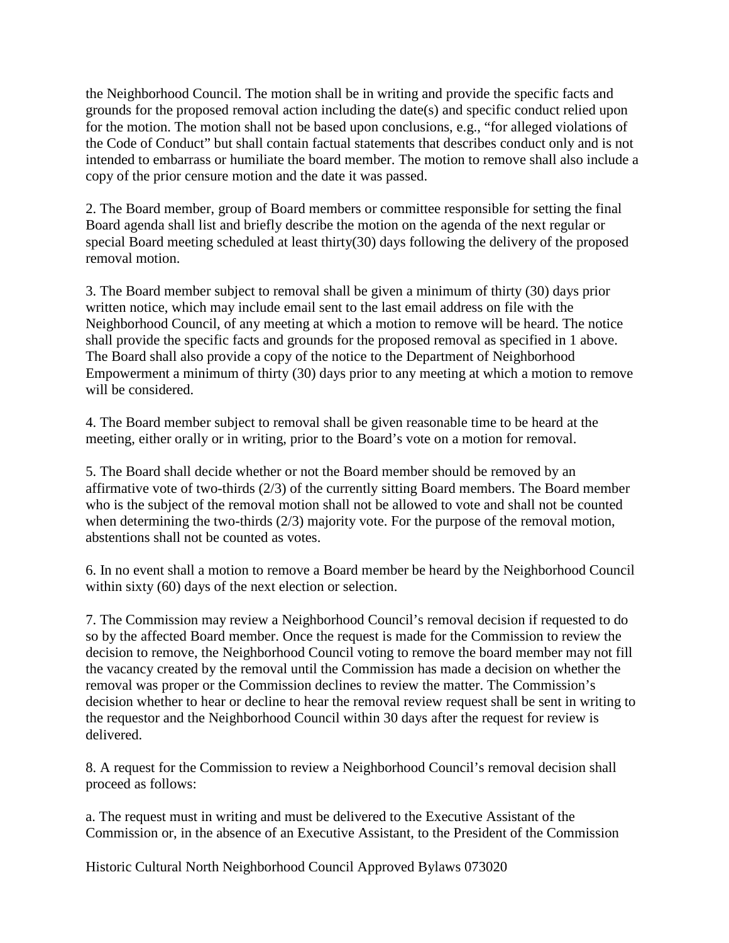the Neighborhood Council. The motion shall be in writing and provide the specific facts and grounds for the proposed removal action including the date(s) and specific conduct relied upon for the motion. The motion shall not be based upon conclusions, e.g., "for alleged violations of the Code of Conduct" but shall contain factual statements that describes conduct only and is not intended to embarrass or humiliate the board member. The motion to remove shall also include a copy of the prior censure motion and the date it was passed.

2. The Board member, group of Board members or committee responsible for setting the final Board agenda shall list and briefly describe the motion on the agenda of the next regular or special Board meeting scheduled at least thirty(30) days following the delivery of the proposed removal motion.

3. The Board member subject to removal shall be given a minimum of thirty (30) days prior written notice, which may include email sent to the last email address on file with the Neighborhood Council, of any meeting at which a motion to remove will be heard. The notice shall provide the specific facts and grounds for the proposed removal as specified in 1 above. The Board shall also provide a copy of the notice to the Department of Neighborhood Empowerment a minimum of thirty (30) days prior to any meeting at which a motion to remove will be considered.

4. The Board member subject to removal shall be given reasonable time to be heard at the meeting, either orally or in writing, prior to the Board's vote on a motion for removal.

5. The Board shall decide whether or not the Board member should be removed by an affirmative vote of two-thirds (2/3) of the currently sitting Board members. The Board member who is the subject of the removal motion shall not be allowed to vote and shall not be counted when determining the two-thirds (2/3) majority vote. For the purpose of the removal motion, abstentions shall not be counted as votes.

6. In no event shall a motion to remove a Board member be heard by the Neighborhood Council within sixty (60) days of the next election or selection.

7. The Commission may review a Neighborhood Council's removal decision if requested to do so by the affected Board member. Once the request is made for the Commission to review the decision to remove, the Neighborhood Council voting to remove the board member may not fill the vacancy created by the removal until the Commission has made a decision on whether the removal was proper or the Commission declines to review the matter. The Commission's decision whether to hear or decline to hear the removal review request shall be sent in writing to the requestor and the Neighborhood Council within 30 days after the request for review is delivered.

8. A request for the Commission to review a Neighborhood Council's removal decision shall proceed as follows:

a. The request must in writing and must be delivered to the Executive Assistant of the Commission or, in the absence of an Executive Assistant, to the President of the Commission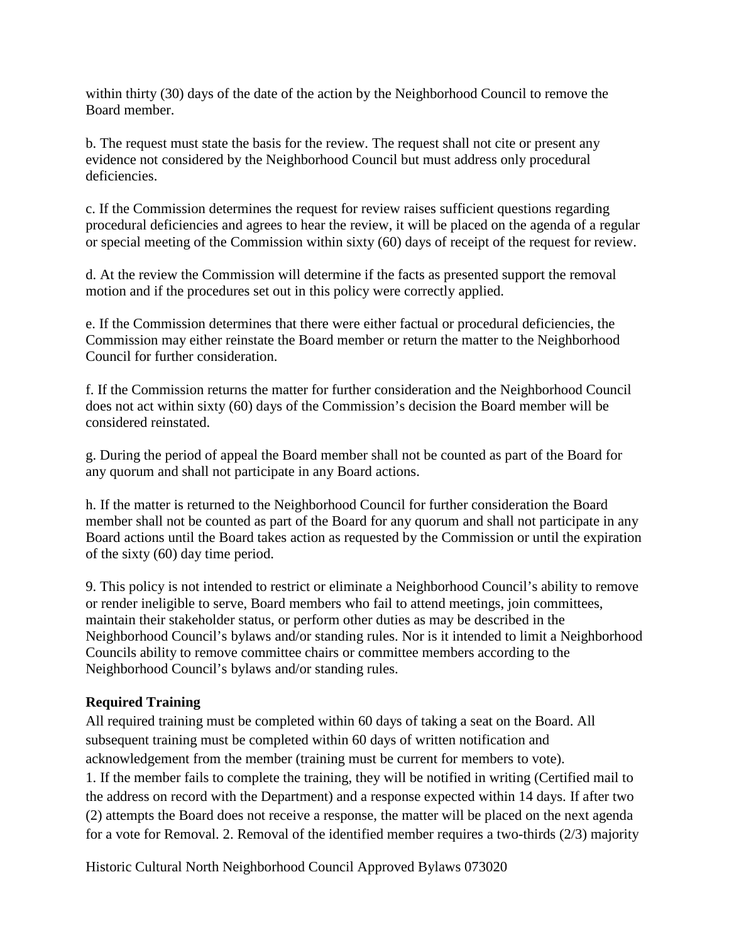within thirty (30) days of the date of the action by the Neighborhood Council to remove the Board member.

b. The request must state the basis for the review. The request shall not cite or present any evidence not considered by the Neighborhood Council but must address only procedural deficiencies.

c. If the Commission determines the request for review raises sufficient questions regarding procedural deficiencies and agrees to hear the review, it will be placed on the agenda of a regular or special meeting of the Commission within sixty (60) days of receipt of the request for review.

d. At the review the Commission will determine if the facts as presented support the removal motion and if the procedures set out in this policy were correctly applied.

e. If the Commission determines that there were either factual or procedural deficiencies, the Commission may either reinstate the Board member or return the matter to the Neighborhood Council for further consideration.

f. If the Commission returns the matter for further consideration and the Neighborhood Council does not act within sixty (60) days of the Commission's decision the Board member will be considered reinstated.

g. During the period of appeal the Board member shall not be counted as part of the Board for any quorum and shall not participate in any Board actions.

h. If the matter is returned to the Neighborhood Council for further consideration the Board member shall not be counted as part of the Board for any quorum and shall not participate in any Board actions until the Board takes action as requested by the Commission or until the expiration of the sixty (60) day time period.

9. This policy is not intended to restrict or eliminate a Neighborhood Council's ability to remove or render ineligible to serve, Board members who fail to attend meetings, join committees, maintain their stakeholder status, or perform other duties as may be described in the Neighborhood Council's bylaws and/or standing rules. Nor is it intended to limit a Neighborhood Councils ability to remove committee chairs or committee members according to the Neighborhood Council's bylaws and/or standing rules.

#### **Required Training**

All required training must be completed within 60 days of taking a seat on the Board. All subsequent training must be completed within 60 days of written notification and acknowledgement from the member (training must be current for members to vote). 1. If the member fails to complete the training, they will be notified in writing (Certified mail to the address on record with the Department) and a response expected within 14 days. If after two (2) attempts the Board does not receive a response, the matter will be placed on the next agenda for a vote for Removal. 2. Removal of the identified member requires a two-thirds (2/3) majority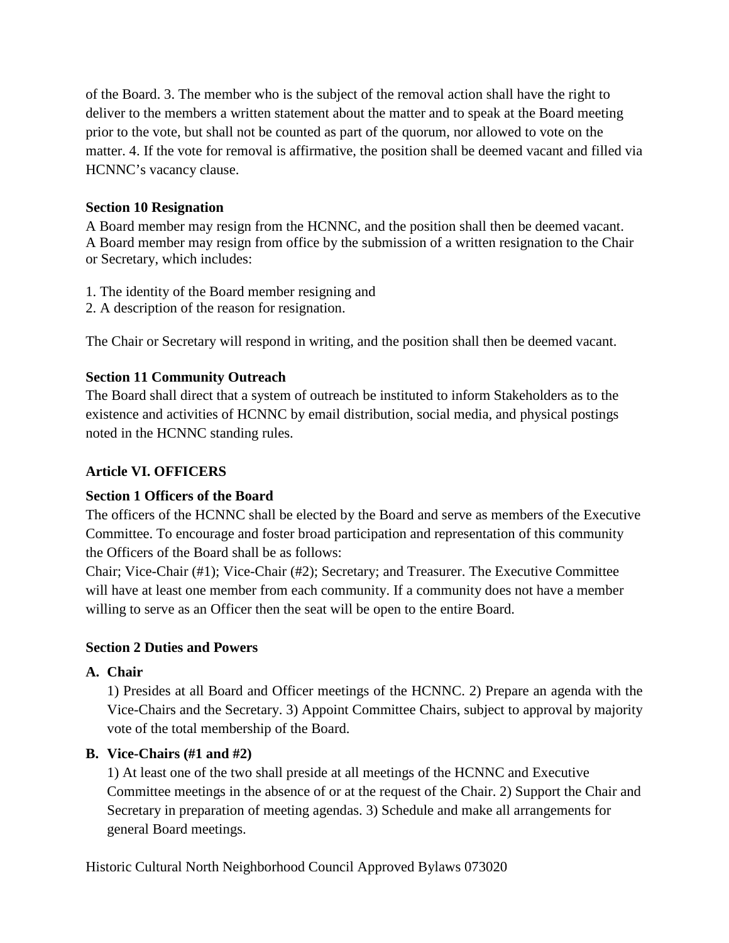of the Board. 3. The member who is the subject of the removal action shall have the right to deliver to the members a written statement about the matter and to speak at the Board meeting prior to the vote, but shall not be counted as part of the quorum, nor allowed to vote on the matter. 4. If the vote for removal is affirmative, the position shall be deemed vacant and filled via HCNNC's vacancy clause.

## **Section 10 Resignation**

A Board member may resign from the HCNNC, and the position shall then be deemed vacant. A Board member may resign from office by the submission of a written resignation to the Chair or Secretary, which includes:

- 1. The identity of the Board member resigning and
- 2. A description of the reason for resignation.

The Chair or Secretary will respond in writing, and the position shall then be deemed vacant.

## **Section 11 Community Outreach**

The Board shall direct that a system of outreach be instituted to inform Stakeholders as to the existence and activities of HCNNC by email distribution, social media, and physical postings noted in the HCNNC standing rules.

## **Article VI. OFFICERS**

#### **Section 1 Officers of the Board**

The officers of the HCNNC shall be elected by the Board and serve as members of the Executive Committee. To encourage and foster broad participation and representation of this community the Officers of the Board shall be as follows:

Chair; Vice-Chair (#1); Vice-Chair (#2); Secretary; and Treasurer. The Executive Committee will have at least one member from each community. If a community does not have a member willing to serve as an Officer then the seat will be open to the entire Board.

## **Section 2 Duties and Powers**

#### **A. Chair**

1) Presides at all Board and Officer meetings of the HCNNC. 2) Prepare an agenda with the Vice-Chairs and the Secretary. 3) Appoint Committee Chairs, subject to approval by majority vote of the total membership of the Board.

## **B. Vice-Chairs (#1 and #2)**

1) At least one of the two shall preside at all meetings of the HCNNC and Executive Committee meetings in the absence of or at the request of the Chair. 2) Support the Chair and Secretary in preparation of meeting agendas. 3) Schedule and make all arrangements for general Board meetings.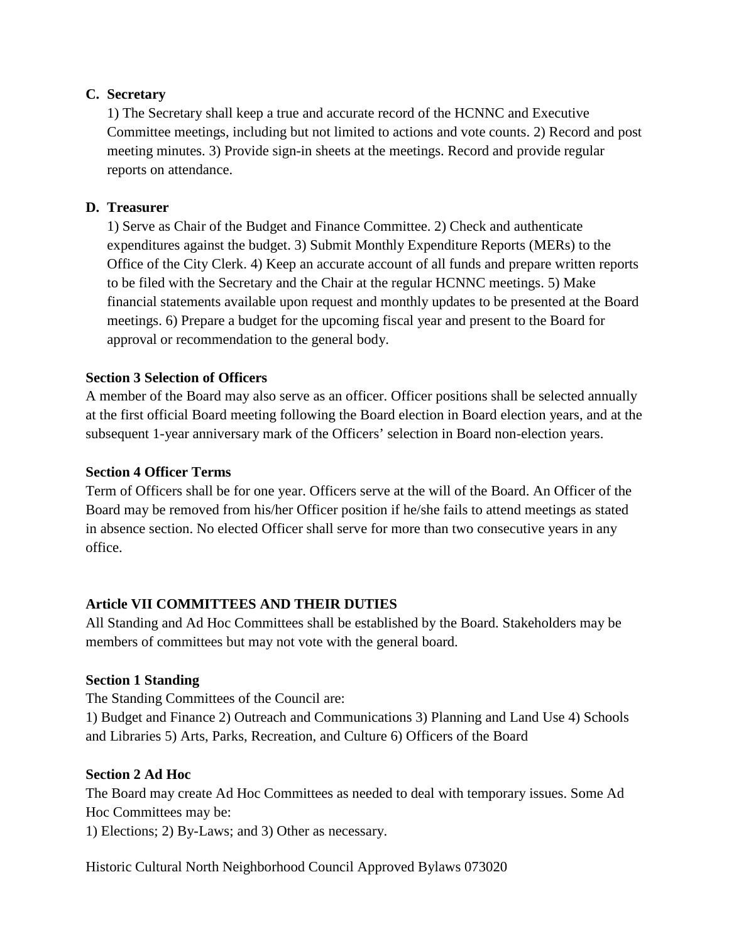## **C. Secretary**

1) The Secretary shall keep a true and accurate record of the HCNNC and Executive Committee meetings, including but not limited to actions and vote counts. 2) Record and post meeting minutes. 3) Provide sign-in sheets at the meetings. Record and provide regular reports on attendance.

### **D. Treasurer**

1) Serve as Chair of the Budget and Finance Committee. 2) Check and authenticate expenditures against the budget. 3) Submit Monthly Expenditure Reports (MERs) to the Office of the City Clerk. 4) Keep an accurate account of all funds and prepare written reports to be filed with the Secretary and the Chair at the regular HCNNC meetings. 5) Make financial statements available upon request and monthly updates to be presented at the Board meetings. 6) Prepare a budget for the upcoming fiscal year and present to the Board for approval or recommendation to the general body.

## **Section 3 Selection of Officers**

A member of the Board may also serve as an officer. Officer positions shall be selected annually at the first official Board meeting following the Board election in Board election years, and at the subsequent 1-year anniversary mark of the Officers' selection in Board non-election years.

#### **Section 4 Officer Terms**

Term of Officers shall be for one year. Officers serve at the will of the Board. An Officer of the Board may be removed from his/her Officer position if he/she fails to attend meetings as stated in absence section. No elected Officer shall serve for more than two consecutive years in any office.

#### **Article VII COMMITTEES AND THEIR DUTIES**

All Standing and Ad Hoc Committees shall be established by the Board. Stakeholders may be members of committees but may not vote with the general board.

#### **Section 1 Standing**

The Standing Committees of the Council are:

1) Budget and Finance 2) Outreach and Communications 3) Planning and Land Use 4) Schools and Libraries 5) Arts, Parks, Recreation, and Culture 6) Officers of the Board

#### **Section 2 Ad Hoc**

The Board may create Ad Hoc Committees as needed to deal with temporary issues. Some Ad Hoc Committees may be:

1) Elections; 2) By-Laws; and 3) Other as necessary.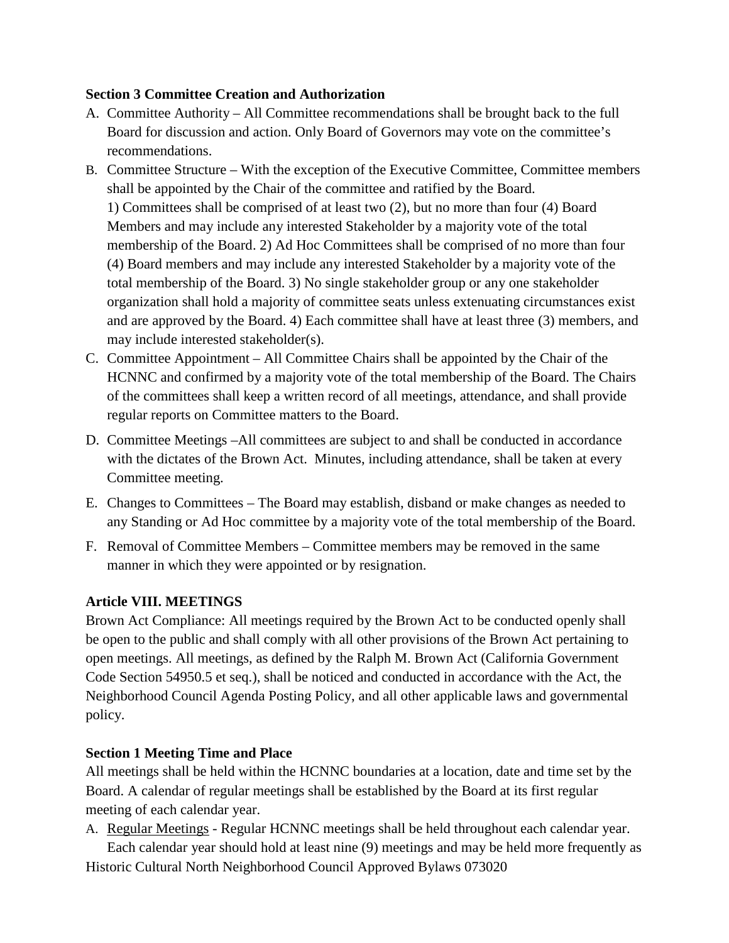#### **Section 3 Committee Creation and Authorization**

- A. Committee Authority All Committee recommendations shall be brought back to the full Board for discussion and action. Only Board of Governors may vote on the committee's recommendations.
- B. Committee Structure With the exception of the Executive Committee, Committee members shall be appointed by the Chair of the committee and ratified by the Board. 1) Committees shall be comprised of at least two (2), but no more than four (4) Board Members and may include any interested Stakeholder by a majority vote of the total membership of the Board. 2) Ad Hoc Committees shall be comprised of no more than four (4) Board members and may include any interested Stakeholder by a majority vote of the total membership of the Board. 3) No single stakeholder group or any one stakeholder organization shall hold a majority of committee seats unless extenuating circumstances exist and are approved by the Board. 4) Each committee shall have at least three (3) members, and may include interested stakeholder(s).
- C. Committee Appointment All Committee Chairs shall be appointed by the Chair of the HCNNC and confirmed by a majority vote of the total membership of the Board. The Chairs of the committees shall keep a written record of all meetings, attendance, and shall provide regular reports on Committee matters to the Board.
- D. Committee Meetings –All committees are subject to and shall be conducted in accordance with the dictates of the Brown Act. Minutes, including attendance, shall be taken at every Committee meeting.
- E. Changes to Committees The Board may establish, disband or make changes as needed to any Standing or Ad Hoc committee by a majority vote of the total membership of the Board.
- F. Removal of Committee Members Committee members may be removed in the same manner in which they were appointed or by resignation.

## **Article VIII. MEETINGS**

Brown Act Compliance: All meetings required by the Brown Act to be conducted openly shall be open to the public and shall comply with all other provisions of the Brown Act pertaining to open meetings. All meetings, as defined by the Ralph M. Brown Act (California Government Code Section 54950.5 et seq.), shall be noticed and conducted in accordance with the Act, the Neighborhood Council Agenda Posting Policy, and all other applicable laws and governmental policy.

## **Section 1 Meeting Time and Place**

All meetings shall be held within the HCNNC boundaries at a location, date and time set by the Board. A calendar of regular meetings shall be established by the Board at its first regular meeting of each calendar year.

A. Regular Meetings - Regular HCNNC meetings shall be held throughout each calendar year. Each calendar year should hold at least nine (9) meetings and may be held more frequently as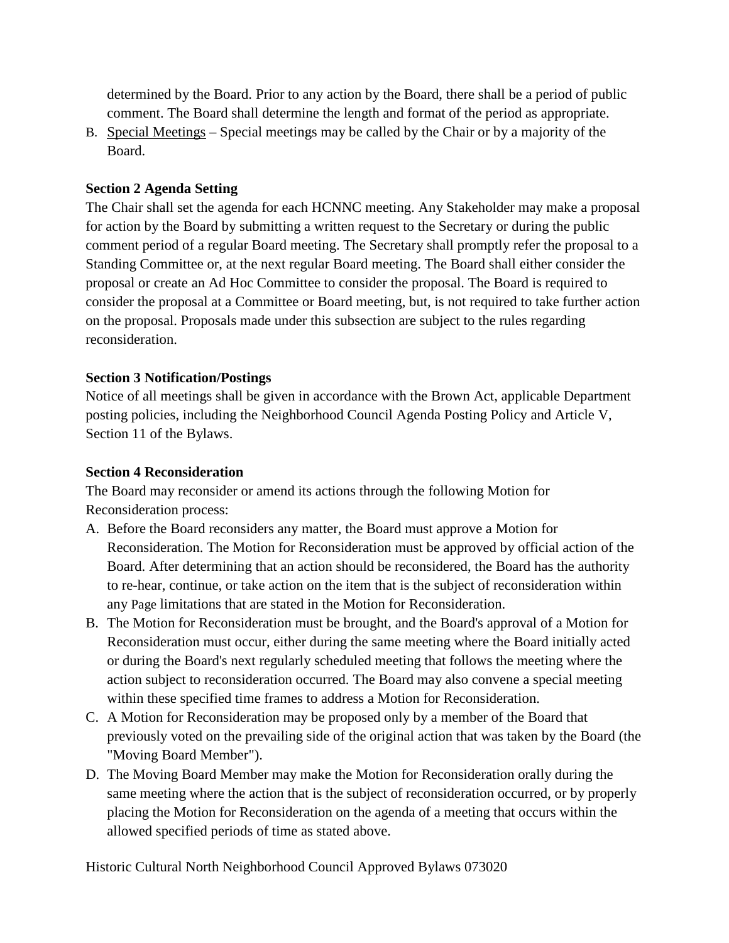determined by the Board. Prior to any action by the Board, there shall be a period of public comment. The Board shall determine the length and format of the period as appropriate.

B. Special Meetings – Special meetings may be called by the Chair or by a majority of the Board.

### **Section 2 Agenda Setting**

The Chair shall set the agenda for each HCNNC meeting. Any Stakeholder may make a proposal for action by the Board by submitting a written request to the Secretary or during the public comment period of a regular Board meeting. The Secretary shall promptly refer the proposal to a Standing Committee or, at the next regular Board meeting. The Board shall either consider the proposal or create an Ad Hoc Committee to consider the proposal. The Board is required to consider the proposal at a Committee or Board meeting, but, is not required to take further action on the proposal. Proposals made under this subsection are subject to the rules regarding reconsideration.

#### **Section 3 Notification/Postings**

Notice of all meetings shall be given in accordance with the Brown Act, applicable Department posting policies, including the Neighborhood Council Agenda Posting Policy and Article V, Section 11 of the Bylaws.

#### **Section 4 Reconsideration**

The Board may reconsider or amend its actions through the following Motion for Reconsideration process:

- A. Before the Board reconsiders any matter, the Board must approve a Motion for Reconsideration. The Motion for Reconsideration must be approved by official action of the Board. After determining that an action should be reconsidered, the Board has the authority to re-hear, continue, or take action on the item that is the subject of reconsideration within any Page limitations that are stated in the Motion for Reconsideration.
- B. The Motion for Reconsideration must be brought, and the Board's approval of a Motion for Reconsideration must occur, either during the same meeting where the Board initially acted or during the Board's next regularly scheduled meeting that follows the meeting where the action subject to reconsideration occurred. The Board may also convene a special meeting within these specified time frames to address a Motion for Reconsideration.
- C. A Motion for Reconsideration may be proposed only by a member of the Board that previously voted on the prevailing side of the original action that was taken by the Board (the "Moving Board Member").
- D. The Moving Board Member may make the Motion for Reconsideration orally during the same meeting where the action that is the subject of reconsideration occurred, or by properly placing the Motion for Reconsideration on the agenda of a meeting that occurs within the allowed specified periods of time as stated above.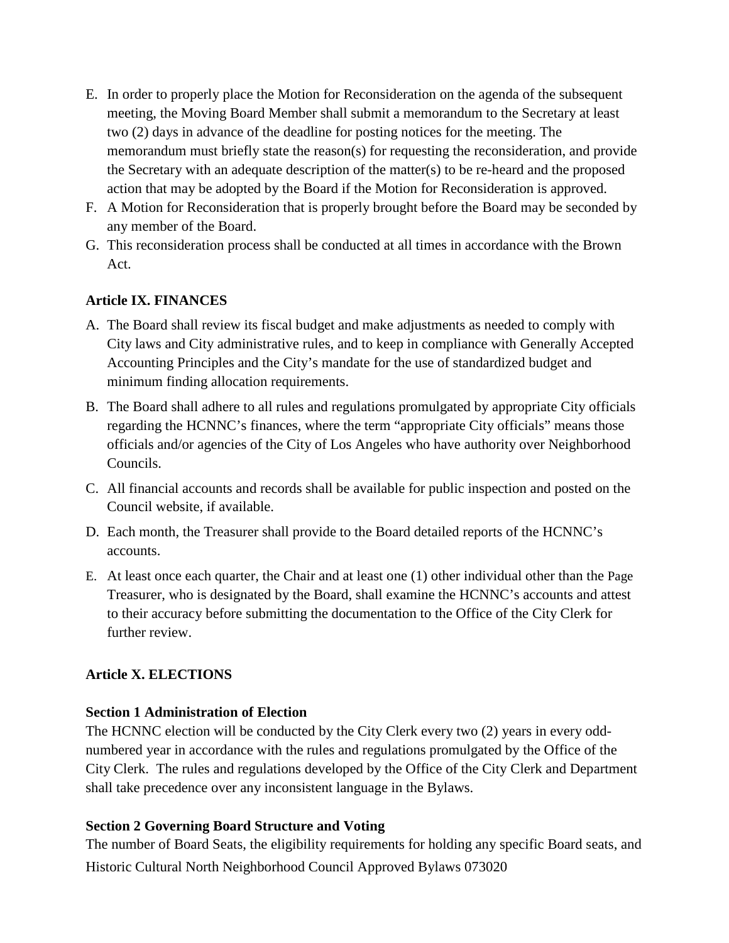- E. In order to properly place the Motion for Reconsideration on the agenda of the subsequent meeting, the Moving Board Member shall submit a memorandum to the Secretary at least two (2) days in advance of the deadline for posting notices for the meeting. The memorandum must briefly state the reason(s) for requesting the reconsideration, and provide the Secretary with an adequate description of the matter(s) to be re-heard and the proposed action that may be adopted by the Board if the Motion for Reconsideration is approved.
- F. A Motion for Reconsideration that is properly brought before the Board may be seconded by any member of the Board.
- G. This reconsideration process shall be conducted at all times in accordance with the Brown Act.

## **Article IX. FINANCES**

- A. The Board shall review its fiscal budget and make adjustments as needed to comply with City laws and City administrative rules, and to keep in compliance with Generally Accepted Accounting Principles and the City's mandate for the use of standardized budget and minimum finding allocation requirements.
- B. The Board shall adhere to all rules and regulations promulgated by appropriate City officials regarding the HCNNC's finances, where the term "appropriate City officials" means those officials and/or agencies of the City of Los Angeles who have authority over Neighborhood Councils.
- C. All financial accounts and records shall be available for public inspection and posted on the Council website, if available.
- D. Each month, the Treasurer shall provide to the Board detailed reports of the HCNNC's accounts.
- E. At least once each quarter, the Chair and at least one (1) other individual other than the Page Treasurer, who is designated by the Board, shall examine the HCNNC's accounts and attest to their accuracy before submitting the documentation to the Office of the City Clerk for further review.

## **Article X. ELECTIONS**

#### **Section 1 Administration of Election**

The HCNNC election will be conducted by the City Clerk every two (2) years in every oddnumbered year in accordance with the rules and regulations promulgated by the Office of the City Clerk. The rules and regulations developed by the Office of the City Clerk and Department shall take precedence over any inconsistent language in the Bylaws.

#### **Section 2 Governing Board Structure and Voting**

Historic Cultural North Neighborhood Council Approved Bylaws 073020 The number of Board Seats, the eligibility requirements for holding any specific Board seats, and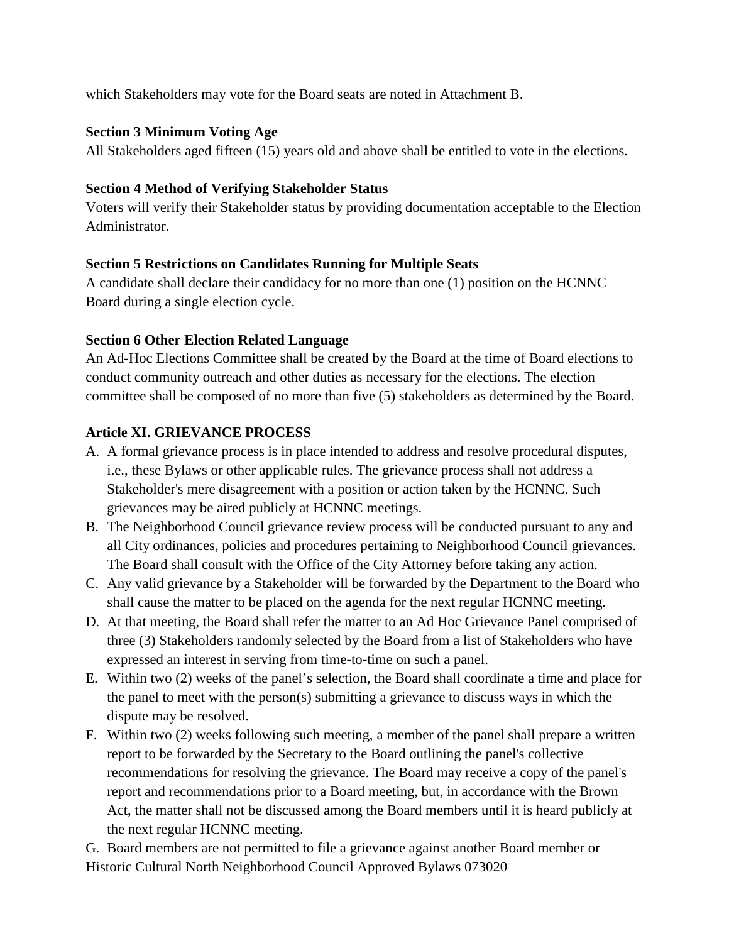which Stakeholders may vote for the Board seats are noted in Attachment B.

## **Section 3 Minimum Voting Age**

All Stakeholders aged fifteen (15) years old and above shall be entitled to vote in the elections.

## **Section 4 Method of Verifying Stakeholder Status**

Voters will verify their Stakeholder status by providing documentation acceptable to the Election Administrator.

## **Section 5 Restrictions on Candidates Running for Multiple Seats**

A candidate shall declare their candidacy for no more than one (1) position on the HCNNC Board during a single election cycle.

## **Section 6 Other Election Related Language**

An Ad-Hoc Elections Committee shall be created by the Board at the time of Board elections to conduct community outreach and other duties as necessary for the elections. The election committee shall be composed of no more than five (5) stakeholders as determined by the Board.

## **Article XI. GRIEVANCE PROCESS**

- A. A formal grievance process is in place intended to address and resolve procedural disputes, i.e., these Bylaws or other applicable rules. The grievance process shall not address a Stakeholder's mere disagreement with a position or action taken by the HCNNC. Such grievances may be aired publicly at HCNNC meetings.
- B. The Neighborhood Council grievance review process will be conducted pursuant to any and all City ordinances, policies and procedures pertaining to Neighborhood Council grievances. The Board shall consult with the Office of the City Attorney before taking any action.
- C. Any valid grievance by a Stakeholder will be forwarded by the Department to the Board who shall cause the matter to be placed on the agenda for the next regular HCNNC meeting.
- D. At that meeting, the Board shall refer the matter to an Ad Hoc Grievance Panel comprised of three (3) Stakeholders randomly selected by the Board from a list of Stakeholders who have expressed an interest in serving from time-to-time on such a panel.
- E. Within two (2) weeks of the panel's selection, the Board shall coordinate a time and place for the panel to meet with the person(s) submitting a grievance to discuss ways in which the dispute may be resolved.
- F. Within two (2) weeks following such meeting, a member of the panel shall prepare a written report to be forwarded by the Secretary to the Board outlining the panel's collective recommendations for resolving the grievance. The Board may receive a copy of the panel's report and recommendations prior to a Board meeting, but, in accordance with the Brown Act, the matter shall not be discussed among the Board members until it is heard publicly at the next regular HCNNC meeting.

Historic Cultural North Neighborhood Council Approved Bylaws 073020 G. Board members are not permitted to file a grievance against another Board member or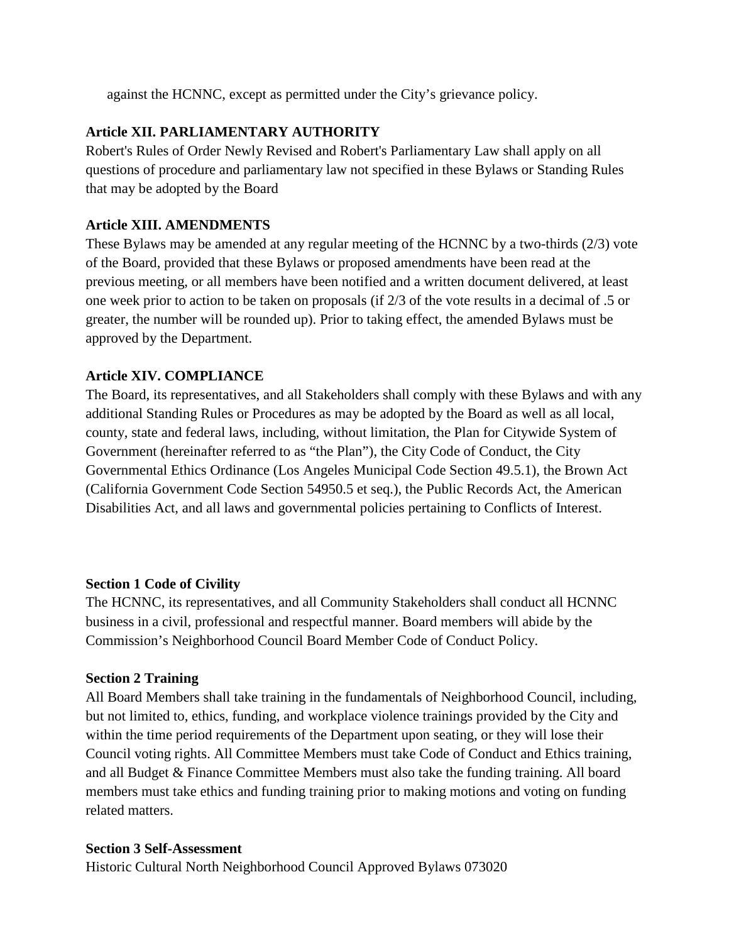against the HCNNC, except as permitted under the City's grievance policy.

## **Article XII. PARLIAMENTARY AUTHORITY**

Robert's Rules of Order Newly Revised and Robert's Parliamentary Law shall apply on all questions of procedure and parliamentary law not specified in these Bylaws or Standing Rules that may be adopted by the Board

#### **Article XIII. AMENDMENTS**

These Bylaws may be amended at any regular meeting of the HCNNC by a two-thirds (2/3) vote of the Board, provided that these Bylaws or proposed amendments have been read at the previous meeting, or all members have been notified and a written document delivered, at least one week prior to action to be taken on proposals (if 2/3 of the vote results in a decimal of .5 or greater, the number will be rounded up). Prior to taking effect, the amended Bylaws must be approved by the Department.

#### **Article XIV. COMPLIANCE**

The Board, its representatives, and all Stakeholders shall comply with these Bylaws and with any additional Standing Rules or Procedures as may be adopted by the Board as well as all local, county, state and federal laws, including, without limitation, the Plan for Citywide System of Government (hereinafter referred to as "the Plan"), the City Code of Conduct, the City Governmental Ethics Ordinance (Los Angeles Municipal Code Section 49.5.1), the Brown Act (California Government Code Section 54950.5 et seq.), the Public Records Act, the American Disabilities Act, and all laws and governmental policies pertaining to Conflicts of Interest.

#### **Section 1 Code of Civility**

The HCNNC, its representatives, and all Community Stakeholders shall conduct all HCNNC business in a civil, professional and respectful manner. Board members will abide by the Commission's Neighborhood Council Board Member Code of Conduct Policy.

#### **Section 2 Training**

All Board Members shall take training in the fundamentals of Neighborhood Council, including, but not limited to, ethics, funding, and workplace violence trainings provided by the City and within the time period requirements of the Department upon seating, or they will lose their Council voting rights. All Committee Members must take Code of Conduct and Ethics training, and all Budget & Finance Committee Members must also take the funding training. All board members must take ethics and funding training prior to making motions and voting on funding related matters.

#### **Section 3 Self-Assessment**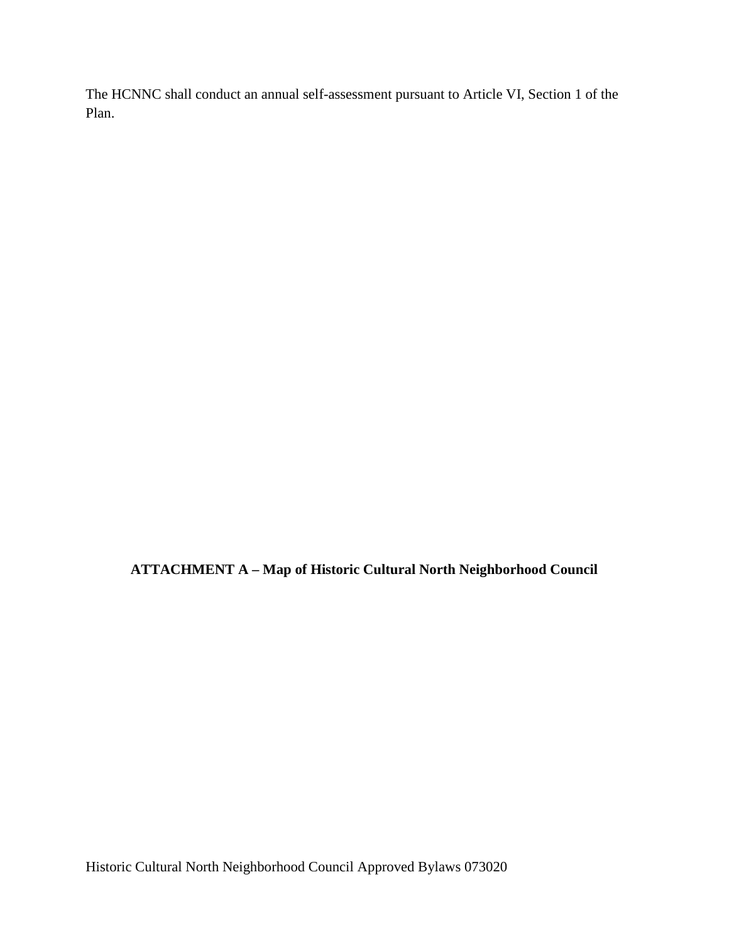The HCNNC shall conduct an annual self-assessment pursuant to Article VI, Section 1 of the Plan.

**ATTACHMENT A – Map of Historic Cultural North Neighborhood Council**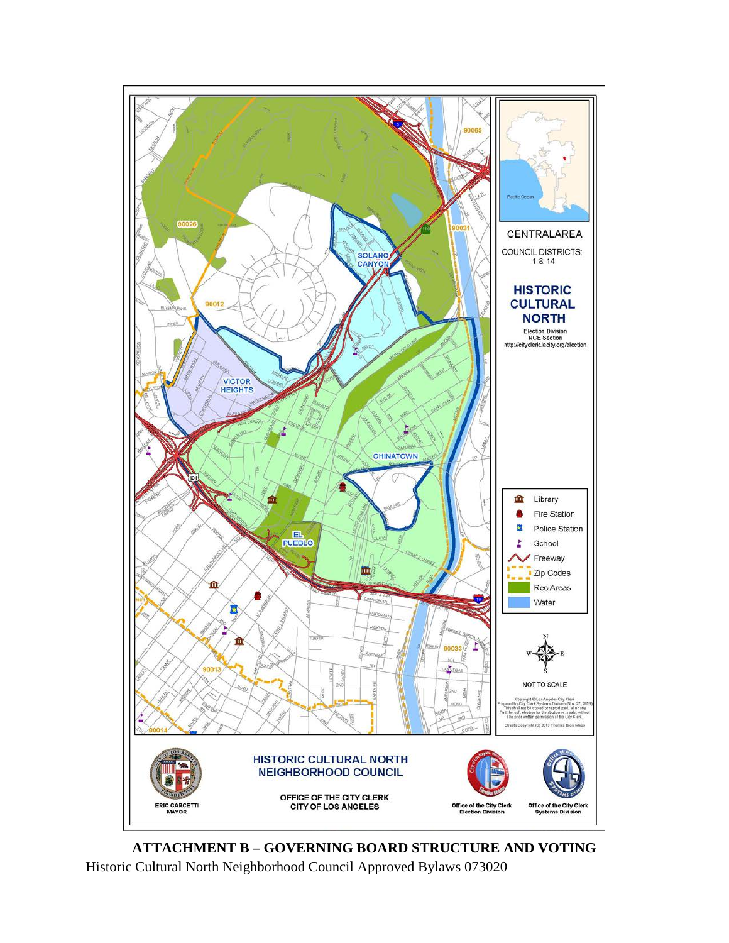

Historic Cultural North Neighborhood Council Approved Bylaws 073020 **ATTACHMENT B – GOVERNING BOARD STRUCTURE AND VOTING**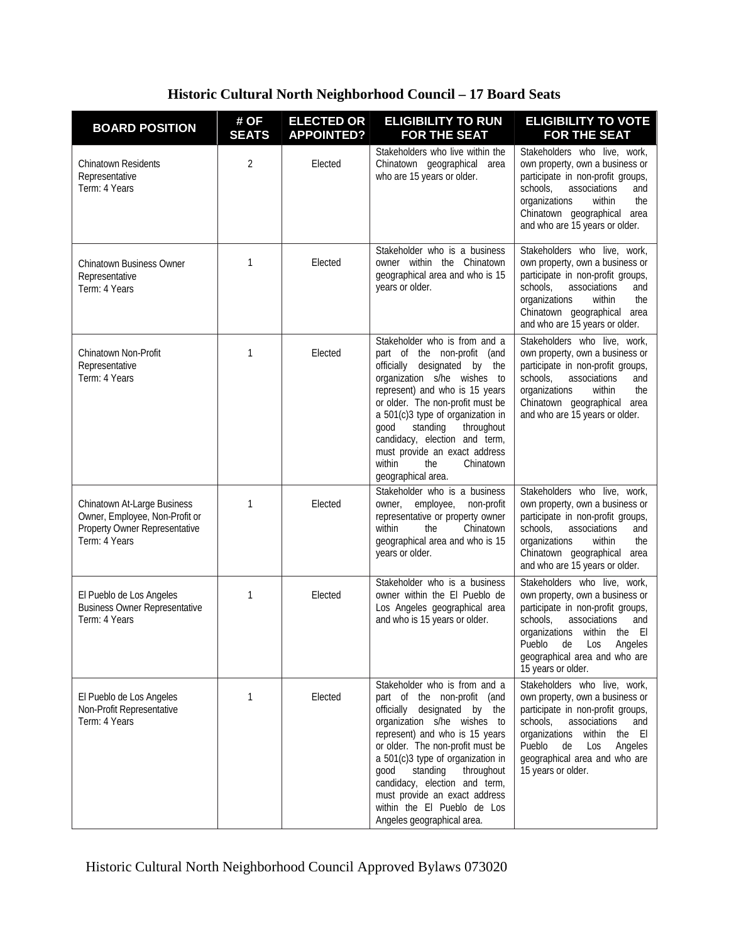## **Historic Cultural North Neighborhood Council – 17 Board Seats**

| <b>BOARD POSITION</b>                                                                                           | # OF<br><b>SEATS</b> | <b>ELECTED OR</b><br><b>APPOINTED?</b> | <b>ELIGIBILITY TO RUN</b><br><b>FOR THE SEAT</b>                                                                                                                                                                                                                                                                                                                                                        | <b>ELIGIBILITY TO VOTE</b><br><b>FOR THE SEAT</b>                                                                                                                                                                                                                     |
|-----------------------------------------------------------------------------------------------------------------|----------------------|----------------------------------------|---------------------------------------------------------------------------------------------------------------------------------------------------------------------------------------------------------------------------------------------------------------------------------------------------------------------------------------------------------------------------------------------------------|-----------------------------------------------------------------------------------------------------------------------------------------------------------------------------------------------------------------------------------------------------------------------|
| <b>Chinatown Residents</b><br>Representative<br>Term: 4 Years                                                   | 2                    | Elected                                | Stakeholders who live within the<br>Chinatown geographical area<br>who are 15 years or older.                                                                                                                                                                                                                                                                                                           | Stakeholders who live, work,<br>own property, own a business or<br>participate in non-profit groups,<br>schools,<br>associations<br>and<br>organizations<br>the<br>within<br>Chinatown geographical area<br>and who are 15 years or older.                            |
| Chinatown Business Owner<br>Representative<br>Term: 4 Years                                                     | 1                    | Elected                                | Stakeholder who is a business<br>owner within the Chinatown<br>geographical area and who is 15<br>years or older.                                                                                                                                                                                                                                                                                       | Stakeholders who live, work,<br>own property, own a business or<br>participate in non-profit groups,<br>schools,<br>associations<br>and<br>organizations<br>within<br>the<br>Chinatown geographical area<br>and who are 15 years or older.                            |
| Chinatown Non-Profit<br>Representative<br>Term: 4 Years                                                         | 1                    | Elected                                | Stakeholder who is from and a<br>part of the non-profit (and<br>officially designated by the<br>organization s/he wishes to<br>represent) and who is 15 years<br>or older. The non-profit must be<br>a 501(c)3 type of organization in<br>throughout<br>good<br>standing<br>candidacy, election and term,<br>must provide an exact address<br>within<br>Chinatown<br>the<br>geographical area.          | Stakeholders who live, work,<br>own property, own a business or<br>participate in non-profit groups,<br>schools,<br>associations<br>and<br>the<br>organizations<br>within<br>Chinatown geographical area<br>and who are 15 years or older.                            |
| Chinatown At-Large Business<br>Owner, Employee, Non-Profit or<br>Property Owner Representative<br>Term: 4 Years | 1                    | Elected                                | Stakeholder who is a business<br>employee,<br>non-profit<br>owner,<br>representative or property owner<br>Chinatown<br>within<br>the<br>geographical area and who is 15<br>years or older.                                                                                                                                                                                                              | Stakeholders who live, work,<br>own property, own a business or<br>participate in non-profit groups,<br>schools,<br>associations<br>and<br>the<br>organizations<br>within<br>Chinatown geographical area<br>and who are 15 years or older.                            |
| El Pueblo de Los Angeles<br><b>Business Owner Representative</b><br>Term: 4 Years                               | 1                    | Elected                                | Stakeholder who is a business<br>owner within the El Pueblo de<br>Los Angeles geographical area<br>and who is 15 years or older.                                                                                                                                                                                                                                                                        | Stakeholders who live, work,<br>own property, own a business or<br>participate in non-profit groups,<br>schools,<br>associations<br>and<br>organizations within the El<br>Pueblo de Los Angeles<br>geographical area and who are<br>15 years or older.                |
| El Pueblo de Los Angeles<br>Non-Profit Representative<br>Term: 4 Years                                          | 1                    | Elected                                | Stakeholder who is from and a<br>part of the non-profit (and<br>officially designated by the<br>organization s/he wishes to<br>represent) and who is 15 years<br>or older. The non-profit must be<br>a 501(c)3 type of organization in<br>standing<br>good<br>throughout<br>candidacy, election and term,<br>must provide an exact address<br>within the El Pueblo de Los<br>Angeles geographical area. | Stakeholders who live, work,<br>own property, own a business or<br>participate in non-profit groups,<br>schools,<br>associations<br>and<br>organizations<br>within<br>the El<br>Pueblo<br>Los<br>Angeles<br>de<br>geographical area and who are<br>15 years or older. |